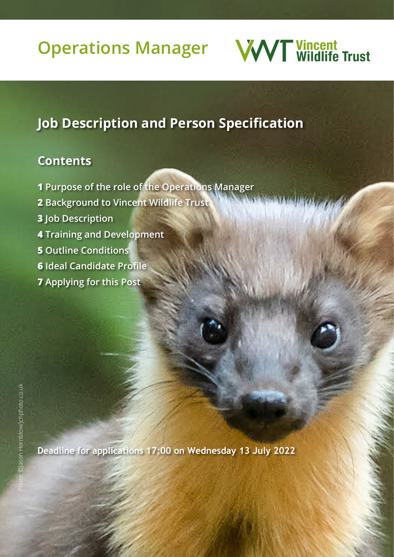# **Operations Manager**



Photo: ©Robert Cruickshanks/Ootmahoosewindae.com

## **Job Description and Person Specification**

## **Contents**

- **1 Purpose of the role of the Operations Manager**
- **2 Background to Vincent Wildlife Trust**
- **3 Job Description**
- **4 Training and Development**
- **5 Outline Conditions**
- **6 Ideal Candidate Profile**
- **7 Applying for this Post**

**Deadline for applications 17:00 on Wednesday 13 July 2022**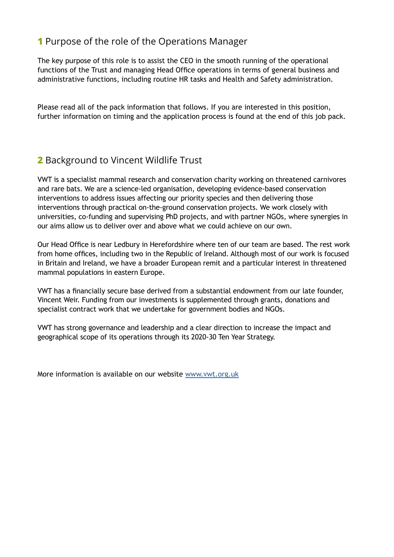## **1** Purpose of the role of the Operations Manager

The key purpose of this role is to assist the CEO in the smooth running of the operational functions of the Trust and managing Head Office operations in terms of general business and administrative functions, including routine HR tasks and Health and Safety administration.

Please read all of the pack information that follows. If you are interested in this position, further information on timing and the application process is found at the end of this job pack.

## **2** Background to Vincent Wildlife Trust

VWT is a specialist mammal research and conservation charity working on threatened carnivores and rare bats. We are a science-led organisation, developing evidence-based conservation interventions to address issues affecting our priority species and then delivering those interventions through practical on-the-ground conservation projects. We work closely with universities, co-funding and supervising PhD projects, and with partner NGOs, where synergies in our aims allow us to deliver over and above what we could achieve on our own.

Our Head Office is near Ledbury in Herefordshire where ten of our team are based. The rest work from home offices, including two in the Republic of Ireland. Although most of our work is focused in Britain and Ireland, we have a broader European remit and a particular interest in threatened mammal populations in eastern Europe.

VWT has a financially secure base derived from a substantial endowment from our late founder, Vincent Weir. Funding from our investments is supplemented through grants, donations and specialist contract work that we undertake for government bodies and NGOs.

VWT has strong governance and leadership and a clear direction to increase the impact and geographical scope of its operations through its 2020-30 Ten Year Strategy.

More information is available on our website [www.vwt.org.uk](http://www.vwt.org.uk )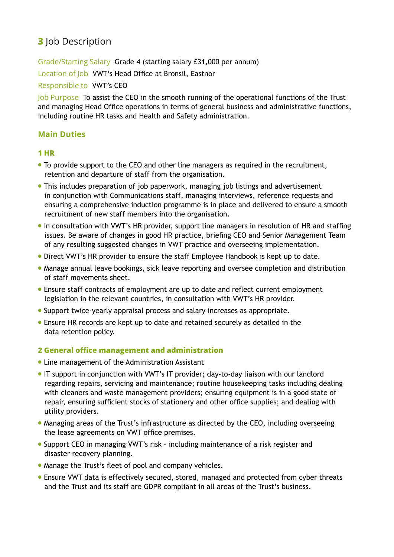## **3** Job Description

Grade/Starting Salary Grade 4 (starting salary £31,000 per annum)

Location of Job VWT's Head Office at Bronsil, Eastnor

Responsible to VWT's CEO

Job Purpose To assist the CEO in the smooth running of the operational functions of the Trust and managing Head Office operations in terms of general business and administrative functions, including routine HR tasks and Health and Safety administration.

## **Main Duties**

#### **1 HR**

- To provide support to the CEO and other line managers as required in the recruitment, retention and departure of staff from the organisation.
- This includes preparation of job paperwork, managing job listings and advertisement in conjunction with Communications staff, managing interviews, reference requests and ensuring a comprehensive induction programme is in place and delivered to ensure a smooth recruitment of new staff members into the organisation.
- In consultation with VWT's HR provider, support line managers in resolution of HR and staffing issues. Be aware of changes in good HR practice, briefing CEO and Senior Management Team of any resulting suggested changes in VWT practice and overseeing implementation.
- Direct VWT's HR provider to ensure the staff Employee Handbook is kept up to date.
- Manage annual leave bookings, sick leave reporting and oversee completion and distribution of staff movements sheet.
- Ensure staff contracts of employment are up to date and reflect current employment legislation in the relevant countries, in consultation with VWT's HR provider.
- Support twice-yearly appraisal process and salary increases as appropriate.
- Ensure HR records are kept up to date and retained securely as detailed in the data retention policy.

#### **2 General office management and administration**

- Line management of the Administration Assistant
- IT support in conjunction with VWT's IT provider; day-to-day liaison with our landlord regarding repairs, servicing and maintenance; routine housekeeping tasks including dealing with cleaners and waste management providers; ensuring equipment is in a good state of repair, ensuring sufficient stocks of stationery and other office supplies; and dealing with utility providers.
- Managing areas of the Trust's infrastructure as directed by the CEO, including overseeing the lease agreements on VWT office premises.
- Support CEO in managing VWT's risk including maintenance of a risk register and disaster recovery planning.
- Manage the Trust's fleet of pool and company vehicles.
- Ensure VWT data is effectively secured, stored, managed and protected from cyber threats and the Trust and its staff are GDPR compliant in all areas of the Trust's business.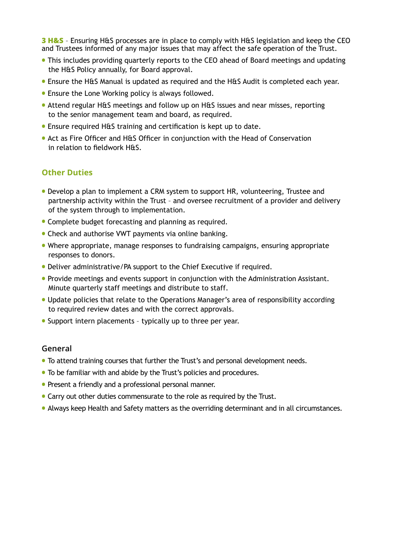**3 H&S** – Ensuring H&S processes are in place to comply with H&S legislation and keep the CEO and Trustees informed of any major issues that may affect the safe operation of the Trust.

- This includes providing quarterly reports to the CEO ahead of Board meetings and updating the H&S Policy annually, for Board approval.
- Ensure the H&S Manual is updated as required and the H&S Audit is completed each year.
- Ensure the Lone Working policy is always followed.
- Attend regular H&S meetings and follow up on H&S issues and near misses, reporting to the senior management team and board, as required.
- Ensure required H&S training and certification is kept up to date.
- Act as Fire Officer and H&S Officer in conjunction with the Head of Conservation in relation to fieldwork H&S.

#### **Other Duties**

- Develop a plan to implement a CRM system to support HR, volunteering, Trustee and partnership activity within the Trust – and oversee recruitment of a provider and delivery of the system through to implementation.
- Complete budget forecasting and planning as required.
- Check and authorise VWT payments via online banking.
- Where appropriate, manage responses to fundraising campaigns, ensuring appropriate responses to donors.
- Deliver administrative/PA support to the Chief Executive if required.
- Provide meetings and events support in conjunction with the Administration Assistant. Minute quarterly staff meetings and distribute to staff.
- Update policies that relate to the Operations Manager's area of responsibility according to required review dates and with the correct approvals.
- Support intern placements typically up to three per year.

#### **General**

- To attend training courses that further the Trust's and personal development needs.
- To be familiar with and abide by the Trust's policies and procedures.
- Present a friendly and a professional personal manner.
- Carry out other duties commensurate to the role as required by the Trust.
- Always keep Health and Safety matters as the overriding determinant and in all circumstances.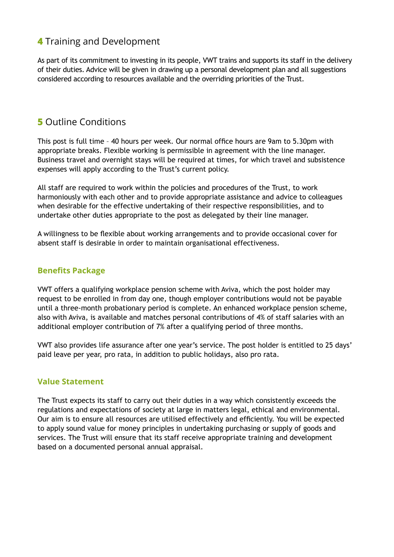## **4** Training and Development

As part of its commitment to investing in its people, VWT trains and supports its staff in the delivery of their duties. Advice will be given in drawing up a personal development plan and all suggestions considered according to resources available and the overriding priorities of the Trust.

## **5** Outline Conditions

This post is full time – 40 hours per week. Our normal office hours are 9am to 5.30pm with appropriate breaks. Flexible working is permissible in agreement with the line manager. Business travel and overnight stays will be required at times, for which travel and subsistence expenses will apply according to the Trust's current policy.

All staff are required to work within the policies and procedures of the Trust, to work harmoniously with each other and to provide appropriate assistance and advice to colleagues when desirable for the effective undertaking of their respective responsibilities, and to undertake other duties appropriate to the post as delegated by their line manager.

A willingness to be flexible about working arrangements and to provide occasional cover for absent staff is desirable in order to maintain organisational effectiveness.

#### **Benefits Package**

VWT offers a qualifying workplace pension scheme with Aviva, which the post holder may request to be enrolled in from day one, though employer contributions would not be payable until a three-month probationary period is complete. An enhanced workplace pension scheme, also with Aviva, is available and matches personal contributions of 4% of staff salaries with an additional employer contribution of 7% after a qualifying period of three months.

VWT also provides life assurance after one year's service. The post holder is entitled to 25 days' paid leave per year, pro rata, in addition to public holidays, also pro rata.

#### **Value Statement**

The Trust expects its staff to carry out their duties in a way which consistently exceeds the regulations and expectations of society at large in matters legal, ethical and environmental. Our aim is to ensure all resources are utilised effectively and efficiently. You will be expected to apply sound value for money principles in undertaking purchasing or supply of goods and services. The Trust will ensure that its staff receive appropriate training and development based on a documented personal annual appraisal.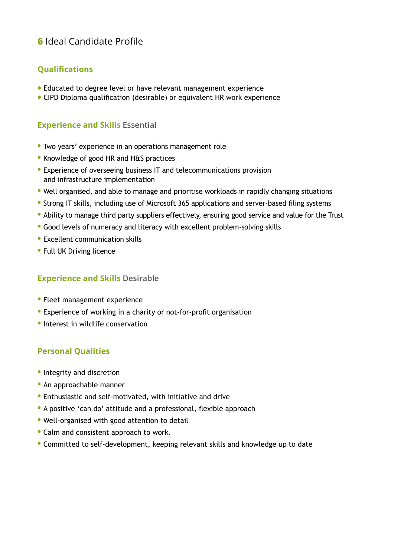## **6** Ideal Candidate Profile

## **Qualifications**

- Educated to degree level or have relevant management experience
- CIPD Diploma qualification (desirable) or equivalent HR work experience

## **Experience and Skills Essential**

- Two years' experience in an operations management role
- Knowledge of good HR and H&S practices
- Experience of overseeing business IT and telecommunications provision and infrastructure implementation
- Well organised, and able to manage and prioritise workloads in rapidly changing situations
- Strong IT skills, including use of Microsoft 365 applications and server-based filing systems
- Ability to manage third party suppliers effectively, ensuring good service and value for the Trust
- Good levels of numeracy and literacy with excellent problem-solving skills
- Excellent communication skills
- Full UK Driving licence

#### **Experience and Skills Desirable**

- Fleet management experience
- Experience of working in a charity or not-for-profit organisation
- Interest in wildlife conservation

#### **Personal Qualities**

- Integrity and discretion
- An approachable manner
- Enthusiastic and self-motivated, with initiative and drive
- A positive 'can do' attitude and a professional, flexible approach
- Well-organised with good attention to detail
- Calm and consistent approach to work.
- Committed to self-development, keeping relevant skills and knowledge up to date